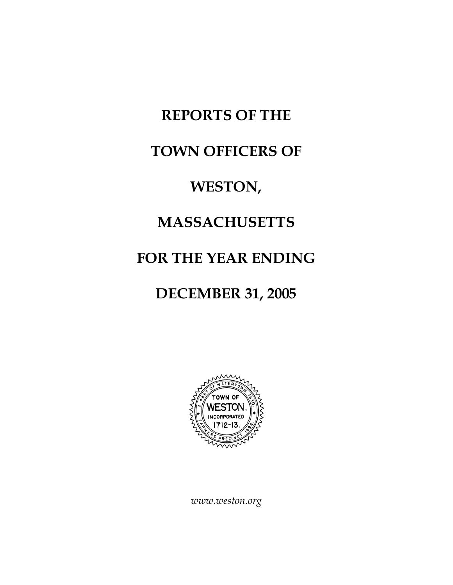# **REPORTS OF THE**

#### **TOWN OFFICERS OF**

#### **WESTON,**

### **MASSACHUSETTS**

## **FOR THE YEAR ENDING**

## **DECEMBER 31, 2005**



*www.weston.org*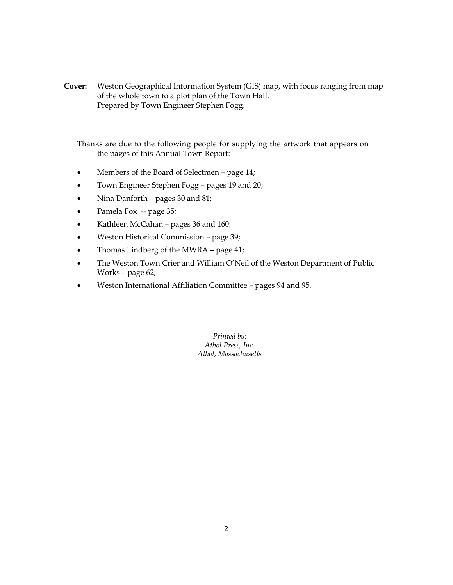**Cover:** Weston Geographical Information System (GIS) map, with focus ranging from map of the whole town to a plot plan of the Town Hall. Prepared by Town Engineer Stephen Fogg.

Thanks are due to the following people for supplying the artwork that appears on the pages of this Annual Town Report:

- Members of the Board of Selectmen page 14;
- Town Engineer Stephen Fogg pages 19 and 20;
- Nina Danforth pages 30 and 81;
- Pamela Fox -- page 35;
- Kathleen McCahan pages 36 and 160:
- Weston Historical Commission page 39;
- Thomas Lindberg of the MWRA page 41;
- The Weston Town Crier and William O'Neil of the Weston Department of Public Works – page 62;
- Weston International Affiliation Committee pages 94 and 95.

*Printed by: Athol Press, Inc. Athol, Massachusetts*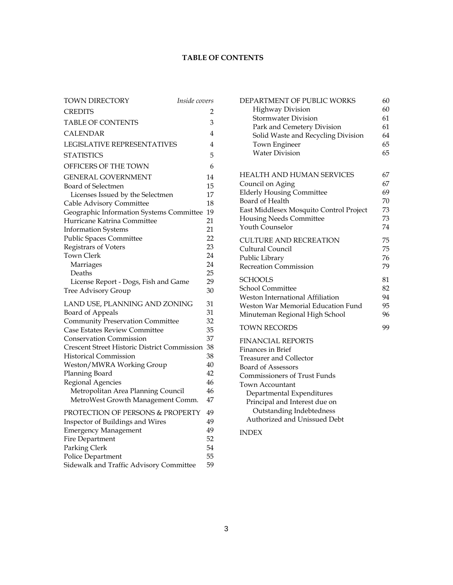#### **TABLE OF CONTENTS**

| TOWN DIRECTORY                                      | Inside covers |    |  |  |
|-----------------------------------------------------|---------------|----|--|--|
| <b>CREDITS</b>                                      |               | 2  |  |  |
| <b>TABLE OF CONTENTS</b>                            |               | 3  |  |  |
| <b>CALENDAR</b>                                     |               | 4  |  |  |
| <b>LEGISLATIVE REPRESENTATIVES</b>                  |               | 4  |  |  |
| <b>STATISTICS</b>                                   |               | 5  |  |  |
| OFFICERS OF THE TOWN                                |               | 6  |  |  |
| <b>GENERAL GOVERNMENT</b>                           |               | 14 |  |  |
| Board of Selectmen                                  |               | 15 |  |  |
| Licenses Issued by the Selectmen                    |               | 17 |  |  |
| Cable Advisory Committee                            |               | 18 |  |  |
| Geographic Information Systems Committee            |               | 19 |  |  |
| Hurricane Katrina Committee                         |               | 21 |  |  |
| <b>Information Systems</b>                          |               | 21 |  |  |
| Public Spaces Committee                             |               | 22 |  |  |
| Registrars of Voters                                |               | 23 |  |  |
| <b>Town Clerk</b>                                   |               | 24 |  |  |
| Marriages                                           |               | 24 |  |  |
| Deaths                                              |               | 25 |  |  |
| License Report - Dogs, Fish and Game                |               | 29 |  |  |
| <b>Tree Advisory Group</b>                          |               | 30 |  |  |
| LAND USE, PLANNING AND ZONING                       |               | 31 |  |  |
| Board of Appeals                                    |               | 31 |  |  |
| <b>Community Preservation Committee</b>             |               | 32 |  |  |
| Case Estates Review Committee                       |               | 35 |  |  |
| <b>Conservation Commission</b>                      |               | 37 |  |  |
| <b>Crescent Street Historic District Commission</b> |               | 38 |  |  |
| <b>Historical Commission</b>                        |               | 38 |  |  |
| Weston/MWRA Working Group                           |               | 40 |  |  |
| Planning Board                                      |               | 42 |  |  |
| Regional Agencies                                   |               | 46 |  |  |
| Metropolitan Area Planning Council                  |               | 46 |  |  |
| MetroWest Growth Management Comm.                   |               | 47 |  |  |
| PROTECTION OF PERSONS & PROPERTY                    |               | 49 |  |  |
| Inspector of Buildings and Wires                    |               | 49 |  |  |
| <b>Emergency Management</b>                         |               | 49 |  |  |
| Fire Department                                     |               | 52 |  |  |
| Parking Clerk                                       |               | 54 |  |  |
| Police Department                                   |               | 55 |  |  |
| Sidewalk and Traffic Advisory Committee             |               | 59 |  |  |

| DEPARTMENT OF PUBLIC WORKS              | 60 |
|-----------------------------------------|----|
| <b>Highway Division</b>                 | 60 |
| <b>Stormwater Division</b>              | 61 |
| Park and Cemetery Division              | 61 |
| Solid Waste and Recycling Division      | 64 |
| <b>Town Engineer</b>                    | 65 |
| <b>Water Division</b>                   | 65 |
| HEALTH AND HUMAN SERVICES               | 67 |
| Council on Aging                        | 67 |
| <b>Elderly Housing Committee</b>        | 69 |
| Board of Health                         | 70 |
| East Middlesex Mosquito Control Project | 73 |
| <b>Housing Needs Committee</b>          | 73 |
| Youth Counselor                         | 74 |
| <b>CULTURE AND RECREATION</b>           | 75 |
| Cultural Council                        | 75 |
| Public Library                          | 76 |
| <b>Recreation Commission</b>            | 79 |
| SCHOOLS                                 | 81 |
| <b>School Committee</b>                 | 82 |
| Weston International Affiliation        | 94 |
| Weston War Memorial Education Fund      | 95 |
| Minuteman Regional High School          | 96 |
| <b>TOWN RECORDS</b>                     | 99 |
| <b>FINANCIAL REPORTS</b>                |    |
| <b>Finances in Brief</b>                |    |
| <b>Treasurer and Collector</b>          |    |
| <b>Board of Assessors</b>               |    |
| <b>Commissioners of Trust Funds</b>     |    |
| Town Accountant                         |    |
| Departmental Expenditures               |    |
| Principal and Interest due on           |    |
| Outstanding Indebtedness                |    |
| Authorized and Unissued Debt            |    |
|                                         |    |

INDEX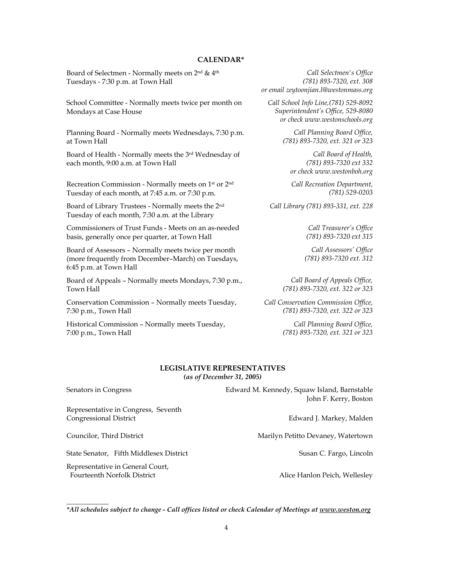#### **CALENDAR\***

Board of Selectmen - Normally meets on 2nd & 4th Tuesdays - 7:30 p.m. at Town Hall

School Committee - Normally meets twice per month on Mondays at Case House

Planning Board - Normally meets Wednesdays, 7:30 p.m. at Town Hall

Board of Health - Normally meets the 3rd Wednesday of each month, 9:00 a.m. at Town Hall

Recreation Commission - Normally meets on 1st or 2nd Tuesday of each month, at 7:45 a.m. or 7:30 p.m.

Board of Library Trustees - Normally meets the 2nd Tuesday of each month, 7:30 a.m. at the Library

Commissioners of Trust Funds - Meets on an as-needed basis, generally once per quarter, at Town Hall

Board of Assessors – Normally meets twice per month (more frequently from December–March) on Tuesdays, 6:45 p.m. at Town Hall

Board of Appeals – Normally meets Mondays, 7:30 p.m., Town Hall

Conservation Commission – Normally meets Tuesday, 7:30 p.m., Town Hall

Historical Commission – Normally meets Tuesday, 7:00 p.m., Town Hall

*\_\_\_\_\_\_\_\_\_\_\_\_* 

*Call Selectmen's Office (781) 893-7320, ext. 308 or email zeytoonjian.l@westonmass.org* 

*Call School Info Line,(781) 529-8092 Superintendent's Office, 529-8080 or check www.westonschools.org* 

> *Call Planning Board Office, (781) 893-7320, ext. 321 or 323*

*Call Board of Health, (781) 893-7320 ext 332 or check www.westonboh.org* 

*Call Recreation Department, (781) 529-0203* 

*Call Library (781) 893-331, ext. 228* 

*Call Treasurer's Office (781) 893-7320 ext 315* 

*Call Assessors' Office (781) 893-7320 ext. 312* 

*Call Board of Appeals Office, (781) 893-7320, ext. 322 or 323* 

*Call Conservation Commission Office, (781) 893-7320, ext. 322 or 323* 

> *Call Planning Board Office, (781) 893-7320, ext. 321 or 323*

#### **LEGISLATIVE REPRESENTATIVES**  *(as of December 31, 2005)*

| Senators in Congress                                                   | Edward M. Kennedy, Squaw Island, Barnstable |  |  |  |  |  |  |  |  |
|------------------------------------------------------------------------|---------------------------------------------|--|--|--|--|--|--|--|--|
|                                                                        | John F. Kerry, Boston                       |  |  |  |  |  |  |  |  |
| Representative in Congress, Seventh<br>Congressional District          | Edward J. Markey, Malden                    |  |  |  |  |  |  |  |  |
| Councilor, Third District                                              | Marilyn Petitto Devaney, Watertown          |  |  |  |  |  |  |  |  |
| State Senator, Fifth Middlesex District                                | Susan C. Fargo, Lincoln                     |  |  |  |  |  |  |  |  |
| Representative in General Court,<br><b>Fourteenth Norfolk District</b> | Alice Hanlon Peich, Wellesley               |  |  |  |  |  |  |  |  |

*<sup>\*</sup>All schedules subject to change - Call offices listed or check Calendar of Meetings at www.weston.org*